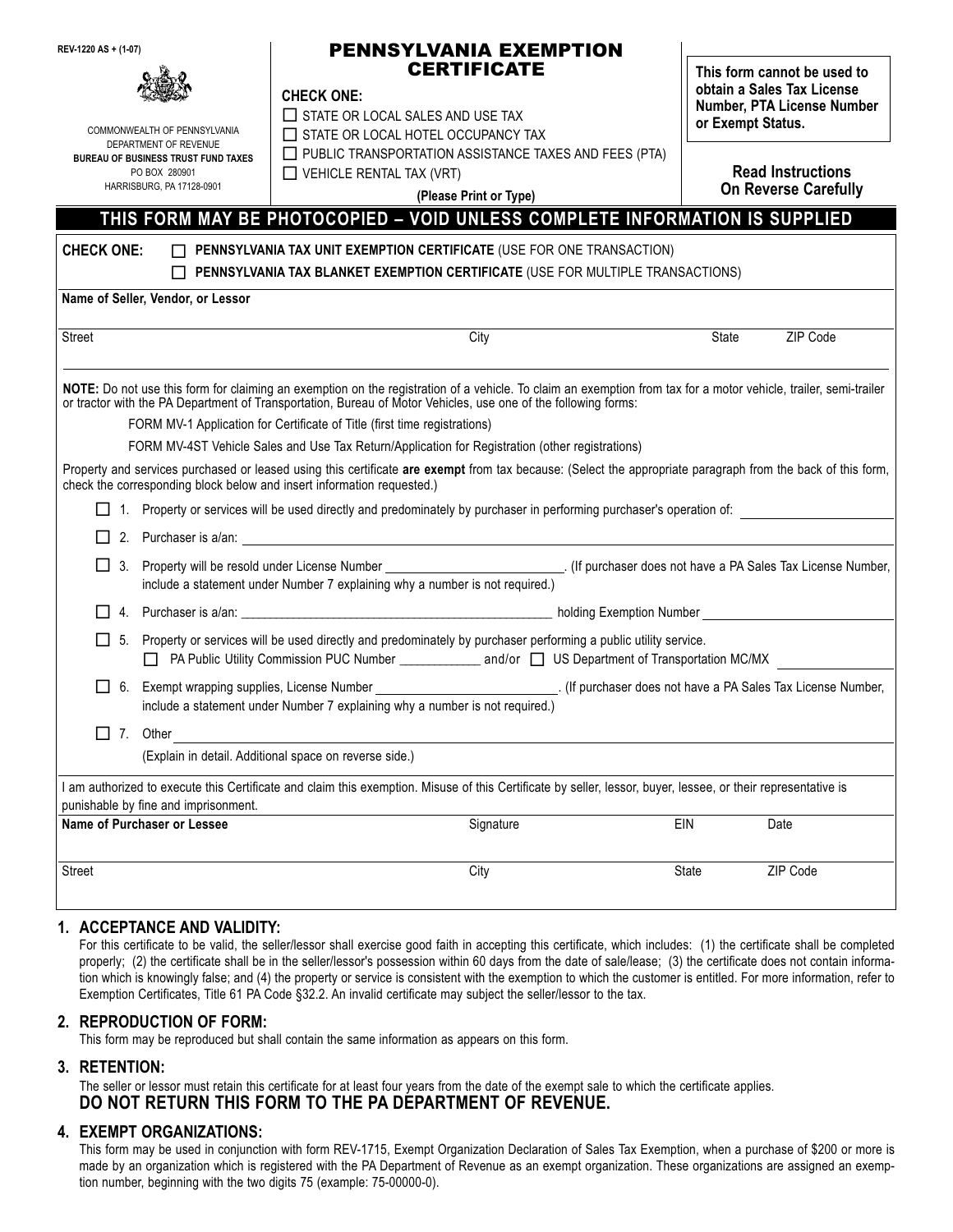| REV-1220 AS + (1-07)                                                                                                                              |                                                                                                                                                                                                                            | PENNSYLVANIA EXEMPTION                                                                                                                                                                                                                                                                                                                                                                                                                                                                                                                                                                                                                                                                                      |      |     |                                                                                                              |          |  |
|---------------------------------------------------------------------------------------------------------------------------------------------------|----------------------------------------------------------------------------------------------------------------------------------------------------------------------------------------------------------------------------|-------------------------------------------------------------------------------------------------------------------------------------------------------------------------------------------------------------------------------------------------------------------------------------------------------------------------------------------------------------------------------------------------------------------------------------------------------------------------------------------------------------------------------------------------------------------------------------------------------------------------------------------------------------------------------------------------------------|------|-----|--------------------------------------------------------------------------------------------------------------|----------|--|
| COMMONWEALTH OF PENNSYLVANIA<br>DEPARTMENT OF REVENUE<br><b>BUREAU OF BUSINESS TRUST FUND TAXES</b><br>PO BOX 280901<br>HARRISBURG, PA 17128-0901 |                                                                                                                                                                                                                            | <b>CERTIFICATE</b><br><b>CHECK ONE:</b><br>$\Box$ STATE OR LOCAL SALES AND USE TAX<br>T STATE OR LOCAL HOTEL OCCUPANCY TAX<br>$\Box$ PUBLIC TRANSPORTATION ASSISTANCE TAXES AND FEES (PTA)<br>$\Box$ VEHICLE RENTAL TAX (VRT)<br>(Please Print or Type)                                                                                                                                                                                                                                                                                                                                                                                                                                                     |      |     | This form cannot be used to<br>obtain a Sales Tax License<br>Number, PTA License Number<br>or Exempt Status. |          |  |
|                                                                                                                                                   |                                                                                                                                                                                                                            |                                                                                                                                                                                                                                                                                                                                                                                                                                                                                                                                                                                                                                                                                                             |      |     | <b>Read Instructions</b><br><b>On Reverse Carefully</b>                                                      |          |  |
|                                                                                                                                                   |                                                                                                                                                                                                                            | THIS FORM MAY BE PHOTOCOPIED - VOID UNLESS COMPLETE INFORMATION IS SUPPLIED                                                                                                                                                                                                                                                                                                                                                                                                                                                                                                                                                                                                                                 |      |     |                                                                                                              |          |  |
| <b>CHECK ONE:</b>                                                                                                                                 |                                                                                                                                                                                                                            | PENNSYLVANIA TAX UNIT EXEMPTION CERTIFICATE (USE FOR ONE TRANSACTION)<br>PENNSYLVANIA TAX BLANKET EXEMPTION CERTIFICATE (USE FOR MULTIPLE TRANSACTIONS)                                                                                                                                                                                                                                                                                                                                                                                                                                                                                                                                                     |      |     |                                                                                                              |          |  |
|                                                                                                                                                   | Name of Seller, Vendor, or Lessor                                                                                                                                                                                          |                                                                                                                                                                                                                                                                                                                                                                                                                                                                                                                                                                                                                                                                                                             |      |     |                                                                                                              |          |  |
| <b>Street</b>                                                                                                                                     |                                                                                                                                                                                                                            |                                                                                                                                                                                                                                                                                                                                                                                                                                                                                                                                                                                                                                                                                                             | City |     | State                                                                                                        | ZIP Code |  |
|                                                                                                                                                   |                                                                                                                                                                                                                            | NOTE: Do not use this form for claiming an exemption on the registration of a vehicle. To claim an exemption from tax for a motor vehicle, trailer, semi-trailer<br>or tractor with the PA Department of Transportation, Bureau of Motor Vehicles, use one of the following forms:<br>FORM MV-1 Application for Certificate of Title (first time registrations)<br>FORM MV-4ST Vehicle Sales and Use Tax Return/Application for Registration (other registrations)<br>Property and services purchased or leased using this certificate are exempt from tax because: (Select the appropriate paragraph from the back of this form,<br>check the corresponding block below and insert information requested.) |      |     |                                                                                                              |          |  |
|                                                                                                                                                   |                                                                                                                                                                                                                            | 1. Property or services will be used directly and predominately by purchaser in performing purchaser's operation of:                                                                                                                                                                                                                                                                                                                                                                                                                                                                                                                                                                                        |      |     |                                                                                                              |          |  |
|                                                                                                                                                   |                                                                                                                                                                                                                            |                                                                                                                                                                                                                                                                                                                                                                                                                                                                                                                                                                                                                                                                                                             |      |     |                                                                                                              |          |  |
| $\mathsf{L}$<br>3.                                                                                                                                |                                                                                                                                                                                                                            | Property will be resold under License Number _________________________________. (If purchaser does not have a PA Sales Tax License Number,<br>include a statement under Number 7 explaining why a number is not required.)                                                                                                                                                                                                                                                                                                                                                                                                                                                                                  |      |     |                                                                                                              |          |  |
| 4.                                                                                                                                                |                                                                                                                                                                                                                            |                                                                                                                                                                                                                                                                                                                                                                                                                                                                                                                                                                                                                                                                                                             |      |     |                                                                                                              |          |  |
| $\mathsf{L}$<br>5.                                                                                                                                | Property or services will be used directly and predominately by purchaser performing a public utility service.<br>□ PA Public Utility Commission PUC Number _______________ and/or □ US Department of Transportation MC/MX |                                                                                                                                                                                                                                                                                                                                                                                                                                                                                                                                                                                                                                                                                                             |      |     |                                                                                                              |          |  |
| $\perp$<br>6.                                                                                                                                     |                                                                                                                                                                                                                            | include a statement under Number 7 explaining why a number is not required.)                                                                                                                                                                                                                                                                                                                                                                                                                                                                                                                                                                                                                                |      |     |                                                                                                              |          |  |
| $\Box$ 7. Other                                                                                                                                   |                                                                                                                                                                                                                            | (Explain in detail. Additional space on reverse side.)                                                                                                                                                                                                                                                                                                                                                                                                                                                                                                                                                                                                                                                      |      |     |                                                                                                              |          |  |
|                                                                                                                                                   |                                                                                                                                                                                                                            | I am authorized to execute this Certificate and claim this exemption. Misuse of this Certificate by seller, lessor, buyer, lessee, or their representative is                                                                                                                                                                                                                                                                                                                                                                                                                                                                                                                                               |      |     |                                                                                                              |          |  |
|                                                                                                                                                   | punishable by fine and imprisonment.<br>Name of Purchaser or Lessee<br>Signature                                                                                                                                           |                                                                                                                                                                                                                                                                                                                                                                                                                                                                                                                                                                                                                                                                                                             |      | EIN |                                                                                                              | Date     |  |
|                                                                                                                                                   |                                                                                                                                                                                                                            |                                                                                                                                                                                                                                                                                                                                                                                                                                                                                                                                                                                                                                                                                                             |      |     |                                                                                                              |          |  |
| <b>Street</b>                                                                                                                                     |                                                                                                                                                                                                                            |                                                                                                                                                                                                                                                                                                                                                                                                                                                                                                                                                                                                                                                                                                             | City |     | State                                                                                                        | ZIP Code |  |
|                                                                                                                                                   |                                                                                                                                                                                                                            |                                                                                                                                                                                                                                                                                                                                                                                                                                                                                                                                                                                                                                                                                                             |      |     |                                                                                                              |          |  |

#### **1. ACCEPTANCE AND VALIDITY:**

For this certificate to be valid, the seller/lessor shall exercise good faith in accepting this certificate, which includes: (1) the certificate shall be completed properly; (2) the certificate shall be in the seller/lessor's possession within 60 days from the date of sale/lease; (3) the certificate does not contain information which is knowingly false; and (4) the property or service is consistent with the exemption to which the customer is entitled. For more information, refer to Exemption Certificates, Title 61 PA Code §32.2. An invalid certificate may subject the seller/lessor to the tax.

#### **2. REPRODUCTION OF FORM:**

This form may be reproduced but shall contain the same information as appears on this form.

## **3. RETENTION:**

The seller or lessor must retain this certificate for at least four years from the date of the exempt sale to which the certificate applies. **DO NOT RETURN THIS FORM TO THE PA DEPARTMENT OF REVENUE.** 

## **4. EXEMPT ORGANIZATIONS:**

This form may be used in conjunction with form REV-1715, Exempt Organization Declaration of Sales Tax Exemption, when a purchase of \$200 or more is made by an organization which is registered with the PA Department of Revenue as an exempt organization. These organizations are assigned an exemption number, beginning with the two digits 75 (example: 75-00000-0).